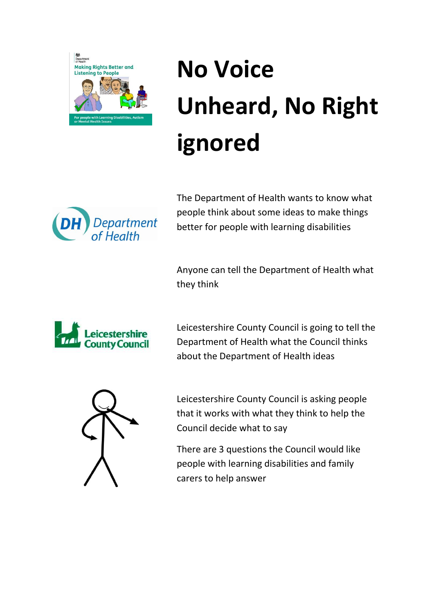

## **No Voice Unheard, No Right ignored**



The Department of Health wants to know what people think about some ideas to make things better for people with learning disabilities

Anyone can tell the Department of Health what they think



Leicestershire County Council is going to tell the Department of Health what the Council thinks about the Department of Health ideas



Leicestershire County Council is asking people that it works with what they think to help the Council decide what to say

There are 3 questions the Council would like people with learning disabilities and family carers to help answer